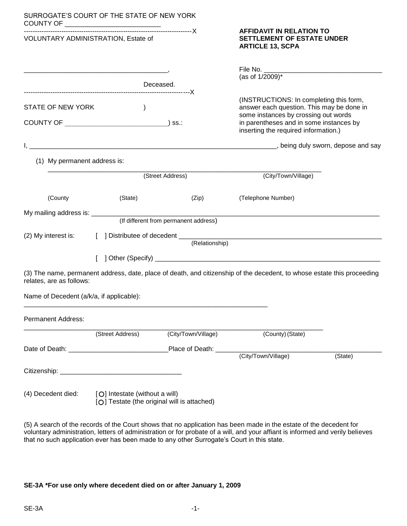| SURROGATE'S COURT OF THE STATE OF NEW YORK<br>COUNTY OF ______________________________ |                  |                                             |                                                                                                                                                                                                                 |         |
|----------------------------------------------------------------------------------------|------------------|---------------------------------------------|-----------------------------------------------------------------------------------------------------------------------------------------------------------------------------------------------------------------|---------|
| VOLUNTARY ADMINISTRATION, Estate of                                                    |                  |                                             | <b>AFFIDAVIT IN RELATION TO</b><br><b>SETTLEMENT OF ESTATE UNDER</b><br><b>ARTICLE 13, SCPA</b>                                                                                                                 |         |
|                                                                                        |                  |                                             | (as of 1/2009)*                                                                                                                                                                                                 |         |
|                                                                                        |                  | Deceased.                                   |                                                                                                                                                                                                                 |         |
| STATE OF NEW YORK<br>COUNTY OF <u>_____________________________</u>                    | $\mathcal{E}$    | $)$ SS.:                                    | (INSTRUCTIONS: In completing this form,<br>answer each question. This may be done in<br>some instances by crossing out words<br>in parentheses and in some instances by<br>inserting the required information.) |         |
|                                                                                        |                  |                                             |                                                                                                                                                                                                                 |         |
| (1) My permanent address is:                                                           |                  |                                             |                                                                                                                                                                                                                 |         |
|                                                                                        |                  | (Street Address)                            | (City/Town/Village)                                                                                                                                                                                             |         |
| (County                                                                                | (State)          | (Zip)                                       | (Telephone Number)                                                                                                                                                                                              |         |
| My mailing address is: _________                                                       |                  | (If different from permanent address)       |                                                                                                                                                                                                                 |         |
|                                                                                        |                  | (Relationship)                              |                                                                                                                                                                                                                 |         |
|                                                                                        |                  |                                             |                                                                                                                                                                                                                 |         |
| relates, are as follows:                                                               |                  |                                             | (3) The name, permanent address, date, place of death, and citizenship of the decedent, to whose estate this proceeding                                                                                         |         |
| Name of Decedent (a/k/a, if applicable):                                               |                  |                                             |                                                                                                                                                                                                                 |         |
| <b>Permanent Address:</b>                                                              |                  |                                             |                                                                                                                                                                                                                 |         |
|                                                                                        | (Street Address) | (City/Town/Village)                         | (County) (State)                                                                                                                                                                                                |         |
|                                                                                        |                  |                                             |                                                                                                                                                                                                                 |         |
|                                                                                        |                  |                                             |                                                                                                                                                                                                                 | (State) |
|                                                                                        |                  |                                             |                                                                                                                                                                                                                 |         |
| (4) Decedent died: [O] Intestate (without a will)                                      |                  | [O] Testate (the original will is attached) |                                                                                                                                                                                                                 |         |
|                                                                                        |                  |                                             | (5) A search of the records of the Court shows that no application has been made in the estate of the decedent for                                                                                              |         |

voluntary administration, letters of administration or for probate of a will, and your affiant is informed and verily believes that no such application ever has been made to any other Surrogate's Court in this state.

## **SE-3A \*For use only where decedent died on or after January 1, 2009**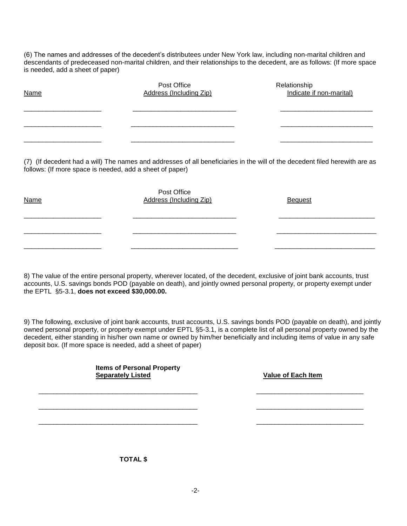(6) The names and addresses of the decedent's distributees under New York law, including non-marital children and descendants of predeceased non-marital children, and their relationships to the decedent, are as follows: (If more space is needed, add a sheet of paper)

| <b>Name</b> | Post Office<br>Address (Including Zip) | Relationship<br>Indicate if non-marital) |
|-------------|----------------------------------------|------------------------------------------|
|             |                                        |                                          |
|             |                                        |                                          |
|             |                                        |                                          |

(7) (If decedent had a will) The names and addresses of all beneficiaries in the will of the decedent filed herewith are as follows: (If more space is needed, add a sheet of paper)

| <b>Name</b> | Post Office<br><b>Address (Including Zip)</b> | <b>Bequest</b> |
|-------------|-----------------------------------------------|----------------|
|             |                                               |                |
|             |                                               |                |

8) The value of the entire personal property, wherever located, of the decedent, exclusive of joint bank accounts, trust accounts, U.S. savings bonds POD (payable on death), and jointly owned personal property, or property exempt under the EPTL §5-3.1, **does not exceed \$30,000.00.**

9) The following, exclusive of joint bank accounts, trust accounts, U.S. savings bonds POD (payable on death), and jointly owned personal property, or property exempt under EPTL §5-3.1, is a complete list of all personal property owned by the decedent, either standing in his/her own name or owned by him/her beneficially and including items of value in any safe deposit box. (If more space is needed, add a sheet of paper)

 $\overline{\phantom{a}}$  , and the contribution of the contribution of the contribution of the contribution of the contribution of the contribution of the contribution of the contribution of the contribution of the contribution of the

 $\overline{\phantom{a}}$  , and the contribution of the contribution of the contribution of the contribution of the contribution of the contribution of the contribution of the contribution of the contribution of the contribution of the

 $\frac{1}{2}$  ,  $\frac{1}{2}$  ,  $\frac{1}{2}$  ,  $\frac{1}{2}$  ,  $\frac{1}{2}$  ,  $\frac{1}{2}$  ,  $\frac{1}{2}$  ,  $\frac{1}{2}$  ,  $\frac{1}{2}$  ,  $\frac{1}{2}$  ,  $\frac{1}{2}$  ,  $\frac{1}{2}$  ,  $\frac{1}{2}$  ,  $\frac{1}{2}$  ,  $\frac{1}{2}$  ,  $\frac{1}{2}$  ,  $\frac{1}{2}$  ,  $\frac{1}{2}$  ,  $\frac{1$ 

| <b>Items of Personal Property</b> |  |
|-----------------------------------|--|
| <b>Separately Listed</b>          |  |

**Value of Each Item** 

**TOTAL \$**